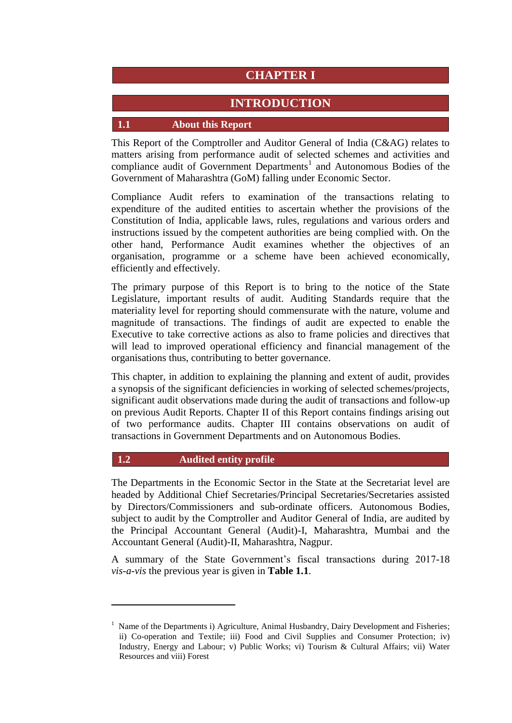# **CHAPTER I**

# **INTRODUCTION**

#### **1.1 About this Report**

This Report of the Comptroller and Auditor General of India (C&AG) relates to matters arising from performance audit of selected schemes and activities and compliance audit of Government Departments<sup>1</sup> and Autonomous Bodies of the Government of Maharashtra (GoM) falling under Economic Sector.

Compliance Audit refers to examination of the transactions relating to expenditure of the audited entities to ascertain whether the provisions of the Constitution of India, applicable laws, rules, regulations and various orders and instructions issued by the competent authorities are being complied with. On the other hand, Performance Audit examines whether the objectives of an organisation, programme or a scheme have been achieved economically, efficiently and effectively.

The primary purpose of this Report is to bring to the notice of the State Legislature, important results of audit. Auditing Standards require that the materiality level for reporting should commensurate with the nature, volume and magnitude of transactions. The findings of audit are expected to enable the Executive to take corrective actions as also to frame policies and directives that will lead to improved operational efficiency and financial management of the organisations thus, contributing to better governance.

This chapter, in addition to explaining the planning and extent of audit, provides a synopsis of the significant deficiencies in working of selected schemes/projects, significant audit observations made during the audit of transactions and follow-up on previous Audit Reports. Chapter II of this Report contains findings arising out of two performance audits. Chapter III contains observations on audit of transactions in Government Departments and on Autonomous Bodies.

#### **1.2 Audited entity profile**

 $\overline{a}$ 

The Departments in the Economic Sector in the State at the Secretariat level are headed by Additional Chief Secretaries/Principal Secretaries/Secretaries assisted by Directors/Commissioners and sub-ordinate officers. Autonomous Bodies, subject to audit by the Comptroller and Auditor General of India, are audited by the Principal Accountant General (Audit)-I, Maharashtra, Mumbai and the Accountant General (Audit)-II, Maharashtra, Nagpur.

A summary of the State Government's fiscal transactions during 2017-18 *vis-a-vis* the previous year is given in **Table 1.1**.

Name of the Departments i) Agriculture, Animal Husbandry, Dairy Development and Fisheries; ii) Co-operation and Textile; iii) Food and Civil Supplies and Consumer Protection; iv) Industry, Energy and Labour; v) Public Works; vi) Tourism & Cultural Affairs; vii) Water Resources and viii) Forest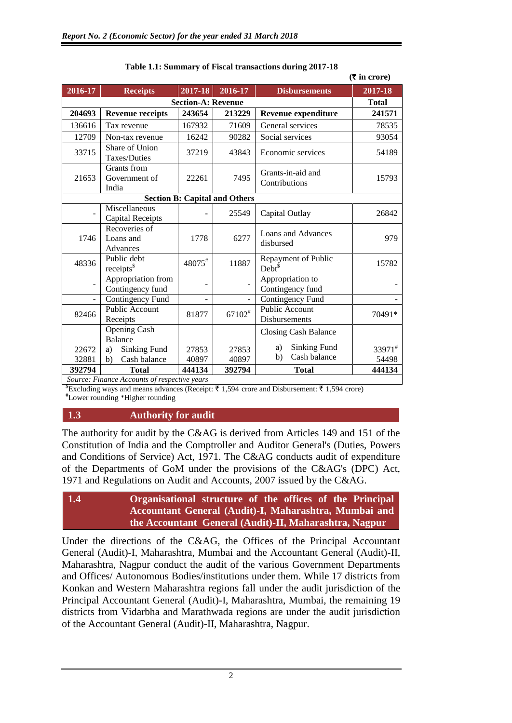|                           |                                        |         |                                      |                                        | $(5$ in crore) |
|---------------------------|----------------------------------------|---------|--------------------------------------|----------------------------------------|----------------|
| 2016-17                   | <b>Receipts</b>                        | 2017-18 | 2016-17                              | <b>Disbursements</b>                   | 2017-18        |
| <b>Section-A: Revenue</b> |                                        |         |                                      |                                        | <b>Total</b>   |
| 204693                    | <b>Revenue receipts</b>                | 243654  | 213229                               | Revenue expenditure                    | 241571         |
| 136616                    | Tax revenue                            | 167932  | 71609                                | General services                       | 78535          |
| 12709                     | Non-tax revenue                        | 16242   | 90282                                | Social services                        | 93054          |
| 33715                     | Share of Union<br>Taxes/Duties         | 37219   | 43843                                | Economic services                      | 54189          |
| 21653                     | Grants from<br>Government of<br>India  | 22261   | 7495                                 | Grants-in-aid and<br>Contributions     | 15793          |
|                           |                                        |         | <b>Section B: Capital and Others</b> |                                        |                |
|                           | Miscellaneous<br>Capital Receipts      |         | 25549                                | Capital Outlay                         | 26842          |
| 1746                      | Recoveries of<br>Loans and<br>Advances | 1778    | 6277                                 | Loans and Advances<br>disbursed        | 979            |
| 48336                     | Public debt<br>receipts <sup>\$</sup>  | 48075#  | 11887                                | Repayment of Public<br>$Debt^{\$}$     | 15782          |
|                           | Appropriation from<br>Contingency fund |         |                                      | Appropriation to<br>Contingency fund   |                |
|                           | Contingency Fund                       |         |                                      | Contingency Fund                       |                |
| 82466                     | <b>Public Account</b><br>Receipts      | 81877   | $67102^{\text{\#}}$                  | <b>Public Account</b><br>Disbursements | 70491*         |
|                           | <b>Opening Cash</b><br><b>Balance</b>  |         |                                      | <b>Closing Cash Balance</b>            |                |
| 22672                     | <b>Sinking Fund</b><br>a)              | 27853   | 27853                                | <b>Sinking Fund</b><br>a)              | 33971#         |
| 32881                     | Cash balance<br>b)                     | 40897   | 40897                                | Cash balance<br>b)                     | 54498          |
| 392794<br>$\mathbf{r}$    | <b>Total</b><br>$\epsilon$             | 444134  | 392794                               | <b>Total</b>                           | 444134         |

#### **Table 1.1: Summary of Fiscal transactions during 2017-18**

*Source: Finance Accounts of respective years*

 $$$ Excluding ways and means advances (Receipt:  $\bar{\tau}$  1,594 crore and Disbursement:  $\bar{\tau}$  1,594 crore)

#Lower rounding \*Higher rounding

#### **1.3 Authority for audit**

The authority for audit by the C&AG is derived from Articles 149 and 151 of the Constitution of India and the Comptroller and Auditor General's (Duties, Powers and Conditions of Service) Act, 1971. The C&AG conducts audit of expenditure of the Departments of GoM under the provisions of the C&AG's (DPC) Act, 1971 and Regulations on Audit and Accounts, 2007 issued by the C&AG.

### **1.4 Organisational structure of the offices of the Principal Accountant General (Audit)-I, Maharashtra, Mumbai and the Accountant General (Audit)-II, Maharashtra, Nagpur**

Under the directions of the C&AG, the Offices of the Principal Accountant General (Audit)-I, Maharashtra, Mumbai and the Accountant General (Audit)-II, Maharashtra, Nagpur conduct the audit of the various Government Departments and Offices/ Autonomous Bodies/institutions under them. While 17 districts from Konkan and Western Maharashtra regions fall under the audit jurisdiction of the Principal Accountant General (Audit)-I, Maharashtra, Mumbai, the remaining 19 districts from Vidarbha and Marathwada regions are under the audit jurisdiction of the Accountant General (Audit)-II, Maharashtra, Nagpur.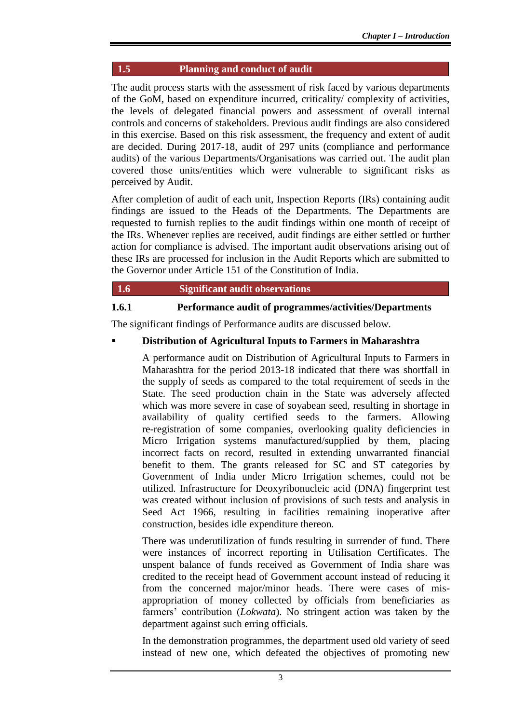### **1.5 Planning and conduct of audit**

The audit process starts with the assessment of risk faced by various departments of the GoM, based on expenditure incurred, criticality/ complexity of activities, the levels of delegated financial powers and assessment of overall internal controls and concerns of stakeholders. Previous audit findings are also considered in this exercise. Based on this risk assessment, the frequency and extent of audit are decided. During 2017-18, audit of 297 units (compliance and performance audits) of the various Departments/Organisations was carried out. The audit plan covered those units/entities which were vulnerable to significant risks as perceived by Audit.

After completion of audit of each unit, Inspection Reports (IRs) containing audit findings are issued to the Heads of the Departments. The Departments are requested to furnish replies to the audit findings within one month of receipt of the IRs. Whenever replies are received, audit findings are either settled or further action for compliance is advised. The important audit observations arising out of these IRs are processed for inclusion in the Audit Reports which are submitted to the Governor under Article 151 of the Constitution of India.

#### **1.6 Significant audit observations**

### **1.6.1 Performance audit of programmes/activities/Departments**

The significant findings of Performance audits are discussed below.

#### **Distribution of Agricultural Inputs to Farmers in Maharashtra**

A performance audit on Distribution of Agricultural Inputs to Farmers in Maharashtra for the period 2013-18 indicated that there was shortfall in the supply of seeds as compared to the total requirement of seeds in the State. The seed production chain in the State was adversely affected which was more severe in case of soyabean seed, resulting in shortage in availability of quality certified seeds to the farmers. Allowing re-registration of some companies, overlooking quality deficiencies in Micro Irrigation systems manufactured/supplied by them, placing incorrect facts on record, resulted in extending unwarranted financial benefit to them. The grants released for SC and ST categories by Government of India under Micro Irrigation schemes, could not be utilized. Infrastructure for Deoxyribonucleic acid (DNA) fingerprint test was created without inclusion of provisions of such tests and analysis in Seed Act 1966, resulting in facilities remaining inoperative after construction, besides idle expenditure thereon.

There was underutilization of funds resulting in surrender of fund. There were instances of incorrect reporting in Utilisation Certificates. The unspent balance of funds received as Government of India share was credited to the receipt head of Government account instead of reducing it from the concerned major/minor heads. There were cases of misappropriation of money collected by officials from beneficiaries as farmers' contribution (*Lokwata*). No stringent action was taken by the department against such erring officials.

In the demonstration programmes, the department used old variety of seed instead of new one, which defeated the objectives of promoting new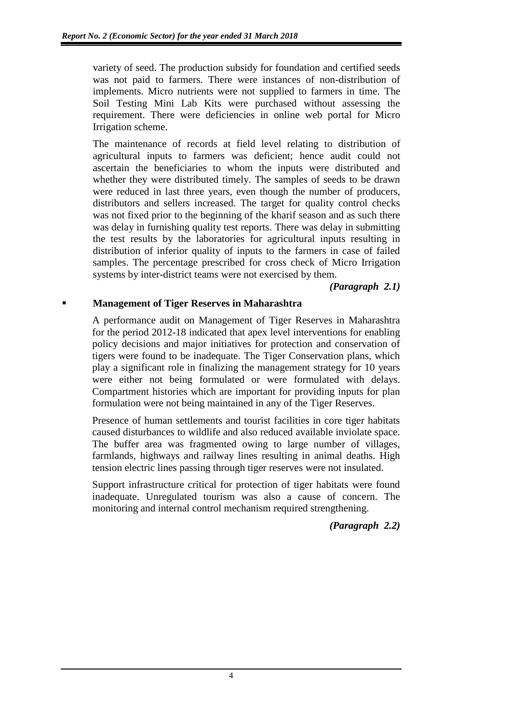variety of seed. The production subsidy for foundation and certified seeds was not paid to farmers. There were instances of non-distribution of implements. Micro nutrients were not supplied to farmers in time. The Soil Testing Mini Lab Kits were purchased without assessing the requirement. There were deficiencies in online web portal for Micro Irrigation scheme.

The maintenance of records at field level relating to distribution of agricultural inputs to farmers was deficient; hence audit could not ascertain the beneficiaries to whom the inputs were distributed and whether they were distributed timely. The samples of seeds to be drawn were reduced in last three years, even though the number of producers, distributors and sellers increased. The target for quality control checks was not fixed prior to the beginning of the kharif season and as such there was delay in furnishing quality test reports. There was delay in submitting the test results by the laboratories for agricultural inputs resulting in distribution of inferior quality of inputs to the farmers in case of failed samples. The percentage prescribed for cross check of Micro Irrigation systems by inter-district teams were not exercised by them.

*(Paragraph 2.1)*

### **Management of Tiger Reserves in Maharashtra**

A performance audit on Management of Tiger Reserves in Maharashtra for the period 2012-18 indicated that apex level interventions for enabling policy decisions and major initiatives for protection and conservation of tigers were found to be inadequate. The Tiger Conservation plans, which play a significant role in finalizing the management strategy for 10 years were either not being formulated or were formulated with delays. Compartment histories which are important for providing inputs for plan formulation were not being maintained in any of the Tiger Reserves.

Presence of human settlements and tourist facilities in core tiger habitats caused disturbances to wildlife and also reduced available inviolate space. The buffer area was fragmented owing to large number of villages, farmlands, highways and railway lines resulting in animal deaths. High tension electric lines passing through tiger reserves were not insulated.

Support infrastructure critical for protection of tiger habitats were found inadequate. Unregulated tourism was also a cause of concern. The monitoring and internal control mechanism required strengthening.

*(Paragraph 2.2)*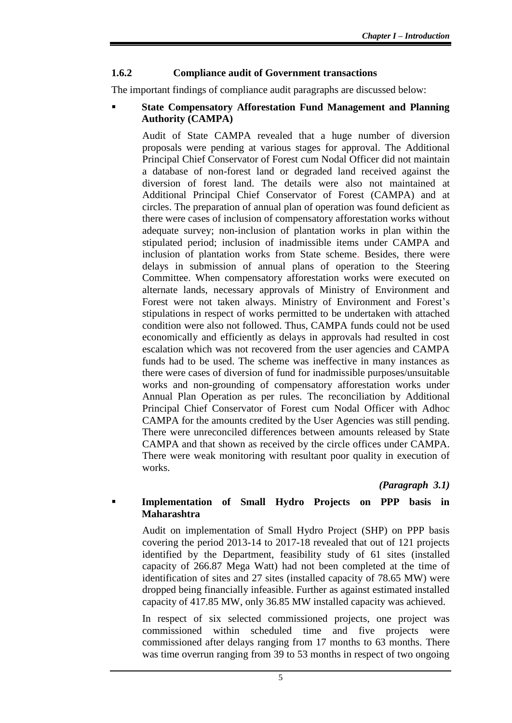### **1.6.2 Compliance audit of Government transactions**

The important findings of compliance audit paragraphs are discussed below:

#### **State Compensatory Afforestation Fund Management and Planning Authority (CAMPA)**

Audit of State CAMPA revealed that a huge number of diversion proposals were pending at various stages for approval. The Additional Principal Chief Conservator of Forest cum Nodal Officer did not maintain a database of non-forest land or degraded land received against the diversion of forest land. The details were also not maintained at Additional Principal Chief Conservator of Forest (CAMPA) and at circles. The preparation of annual plan of operation was found deficient as there were cases of inclusion of compensatory afforestation works without adequate survey; non-inclusion of plantation works in plan within the stipulated period; inclusion of inadmissible items under CAMPA and inclusion of plantation works from State scheme. Besides, there were delays in submission of annual plans of operation to the Steering Committee. When compensatory afforestation works were executed on alternate lands, necessary approvals of Ministry of Environment and Forest were not taken always. Ministry of Environment and Forest's stipulations in respect of works permitted to be undertaken with attached condition were also not followed. Thus, CAMPA funds could not be used economically and efficiently as delays in approvals had resulted in cost escalation which was not recovered from the user agencies and CAMPA funds had to be used. The scheme was ineffective in many instances as there were cases of diversion of fund for inadmissible purposes/unsuitable works and non-grounding of compensatory afforestation works under Annual Plan Operation as per rules. The reconciliation by Additional Principal Chief Conservator of Forest cum Nodal Officer with Adhoc CAMPA for the amounts credited by the User Agencies was still pending. There were unreconciled differences between amounts released by State CAMPA and that shown as received by the circle offices under CAMPA. There were weak monitoring with resultant poor quality in execution of works.

*(Paragraph 3.1)*

### **Implementation of Small Hydro Projects on PPP basis in Maharashtra**

Audit on implementation of Small Hydro Project (SHP) on PPP basis covering the period 2013-14 to 2017-18 revealed that out of 121 projects identified by the Department, feasibility study of 61 sites (installed capacity of 266.87 Mega Watt) had not been completed at the time of identification of sites and 27 sites (installed capacity of 78.65 MW) were dropped being financially infeasible. Further as against estimated installed capacity of 417.85 MW, only 36.85 MW installed capacity was achieved.

In respect of six selected commissioned projects, one project was commissioned within scheduled time and five projects were commissioned after delays ranging from 17 months to 63 months. There was time overrun ranging from 39 to 53 months in respect of two ongoing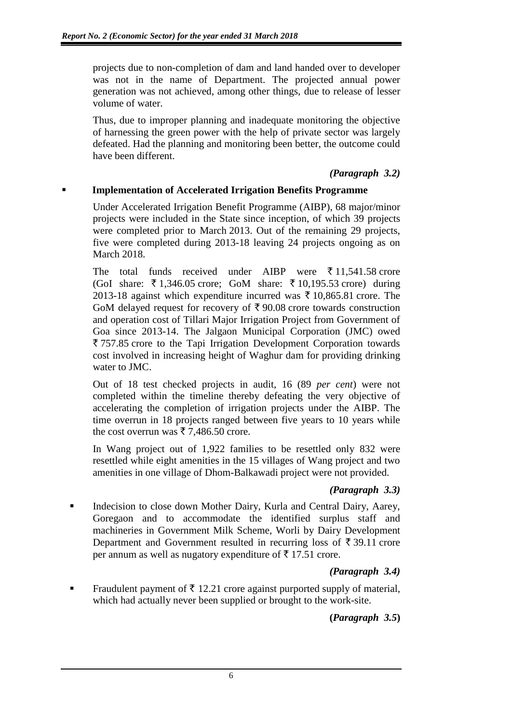projects due to non-completion of dam and land handed over to developer was not in the name of Department. The projected annual power generation was not achieved, among other things, due to release of lesser volume of water.

Thus, due to improper planning and inadequate monitoring the objective of harnessing the green power with the help of private sector was largely defeated. Had the planning and monitoring been better, the outcome could have been different.

### *(Paragraph 3.2)*

### **Implementation of Accelerated Irrigation Benefits Programme**

Under Accelerated Irrigation Benefit Programme (AIBP), 68 major/minor projects were included in the State since inception, of which 39 projects were completed prior to March 2013. Out of the remaining 29 projects, five were completed during 2013-18 leaving 24 projects ongoing as on March 2018.

The total funds received under AIBP were  $\bar{\tau}$  11,541.58 crore (GoI share:  $\overline{\xi}$  1,346.05 crore; GoM share:  $\overline{\xi}$  10,195.53 crore) during 2013-18 against which expenditure incurred was  $\bar{\tau}$  10,865.81 crore. The GoM delayed request for recovery of  $\bar{\tau}$  90.08 crore towards construction and operation cost of Tillari Major Irrigation Project from Government of Goa since 2013-14. The Jalgaon Municipal Corporation (JMC) owed  $\overline{5}$  757.85 crore to the Tapi Irrigation Development Corporation towards cost involved in increasing height of Waghur dam for providing drinking water to JMC.

Out of 18 test checked projects in audit, 16 (89 *per cent*) were not completed within the timeline thereby defeating the very objective of accelerating the completion of irrigation projects under the AIBP. The time overrun in 18 projects ranged between five years to 10 years while the cost overrun was  $\bar{\tau}$  7,486.50 crore.

In Wang project out of 1,922 families to be resettled only 832 were resettled while eight amenities in the 15 villages of Wang project and two amenities in one village of Dhom-Balkawadi project were not provided.

### *(Paragraph 3.3)*

 Indecision to close down Mother Dairy, Kurla and Central Dairy, Aarey, Goregaon and to accommodate the identified surplus staff and machineries in Government Milk Scheme, Worli by Dairy Development Department and Government resulted in recurring loss of  $\bar{\tau}$  39.11 crore per annum as well as nugatory expenditure of  $\bar{\tau}$  17.51 crore.

### *(Paragraph 3.4)*

Fraudulent payment of  $\bar{\tau}$  12.21 crore against purported supply of material, which had actually never been supplied or brought to the work-site.

# **(***Paragraph 3.5***)**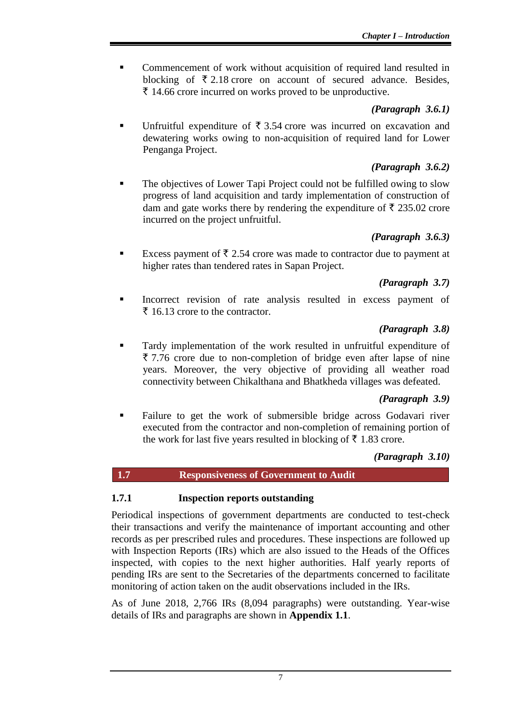**Commencement of work without acquisition of required land resulted in** blocking of  $\bar{\tau}$  2.18 crore on account of secured advance. Besides,  $\bar{\tau}$  14.66 crore incurred on works proved to be unproductive.

### *(Paragraph 3.6.1)*

■ Unfruitful expenditure of  $\bar{\tau}$  3.54 crore was incurred on excavation and dewatering works owing to non-acquisition of required land for Lower Penganga Project.

# *(Paragraph 3.6.2)*

The objectives of Lower Tapi Project could not be fulfilled owing to slow progress of land acquisition and tardy implementation of construction of dam and gate works there by rendering the expenditure of  $\bar{\tau}$  235.02 crore incurred on the project unfruitful.

# *(Paragraph 3.6.3)*

Excess payment of  $\bar{\tau}$  2.54 crore was made to contractor due to payment at higher rates than tendered rates in Sapan Project.

# *(Paragraph 3.7)*

Incorrect revision of rate analysis resulted in excess payment of  $\bar{\tau}$  16.13 crore to the contractor.

# *(Paragraph 3.8)*

 Tardy implementation of the work resulted in unfruitful expenditure of  $\overline{\xi}$  7.76 crore due to non-completion of bridge even after lapse of nine years. Moreover, the very objective of providing all weather road connectivity between Chikalthana and Bhatkheda villages was defeated.

# *(Paragraph 3.9)*

 Failure to get the work of submersible bridge across Godavari river executed from the contractor and non-completion of remaining portion of the work for last five years resulted in blocking of  $\bar{\tau}$  1.83 crore.

# *(Paragraph 3.10)*

# **1.7 Responsiveness of Government to Audit**

### **1.7.1 Inspection reports outstanding**

Periodical inspections of government departments are conducted to test-check their transactions and verify the maintenance of important accounting and other records as per prescribed rules and procedures. These inspections are followed up with Inspection Reports (IRs) which are also issued to the Heads of the Offices inspected, with copies to the next higher authorities. Half yearly reports of pending IRs are sent to the Secretaries of the departments concerned to facilitate monitoring of action taken on the audit observations included in the IRs.

As of June 2018, 2,766 IRs (8,094 paragraphs) were outstanding. Year-wise details of IRs and paragraphs are shown in **Appendix 1.1**.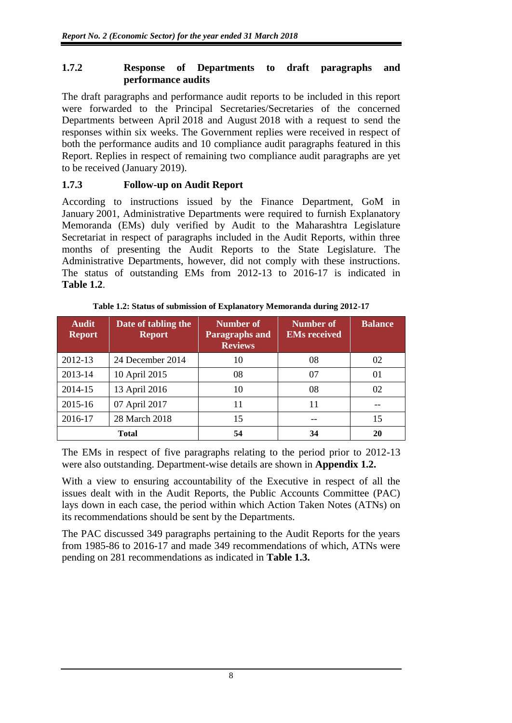#### **1.7.2 Response of Departments to draft paragraphs and performance audits**

The draft paragraphs and performance audit reports to be included in this report were forwarded to the Principal Secretaries/Secretaries of the concerned Departments between April 2018 and August 2018 with a request to send the responses within six weeks. The Government replies were received in respect of both the performance audits and 10 compliance audit paragraphs featured in this Report. Replies in respect of remaining two compliance audit paragraphs are yet to be received (January 2019).

### **1.7.3 Follow-up on Audit Report**

According to instructions issued by the Finance Department, GoM in January 2001, Administrative Departments were required to furnish Explanatory Memoranda (EMs) duly verified by Audit to the Maharashtra Legislature Secretariat in respect of paragraphs included in the Audit Reports, within three months of presenting the Audit Reports to the State Legislature. The Administrative Departments, however, did not comply with these instructions. The status of outstanding EMs from 2012-13 to 2016-17 is indicated in **Table 1.2**.

| <b>Audit</b><br><b>Report</b> | Date of tabling the<br><b>Report</b> | Number of<br><b>Paragraphs and</b><br><b>Reviews</b> | Number of<br><b>EMs</b> received | <b>Balance</b> |
|-------------------------------|--------------------------------------|------------------------------------------------------|----------------------------------|----------------|
| 2012-13                       | 24 December 2014                     | 10                                                   | 08                               | 02             |
| 2013-14                       | 10 April 2015                        | 08                                                   | 07                               | 01             |
| 2014-15                       | 13 April 2016                        | 10                                                   | 08                               | 02             |
| 2015-16                       | 07 April 2017                        | 11                                                   | 11                               |                |
| 2016-17                       | 28 March 2018                        | 15                                                   |                                  | 15             |
|                               | <b>Total</b>                         | 54                                                   | 34                               | 20             |

**Table 1.2: Status of submission of Explanatory Memoranda during 2012-17**

The EMs in respect of five paragraphs relating to the period prior to 2012-13 were also outstanding. Department-wise details are shown in **Appendix 1.2.**

With a view to ensuring accountability of the Executive in respect of all the issues dealt with in the Audit Reports, the Public Accounts Committee (PAC) lays down in each case, the period within which Action Taken Notes (ATNs) on its recommendations should be sent by the Departments.

The PAC discussed 349 paragraphs pertaining to the Audit Reports for the years from 1985-86 to 2016-17 and made 349 recommendations of which, ATNs were pending on 281 recommendations as indicated in **Table 1.3.**